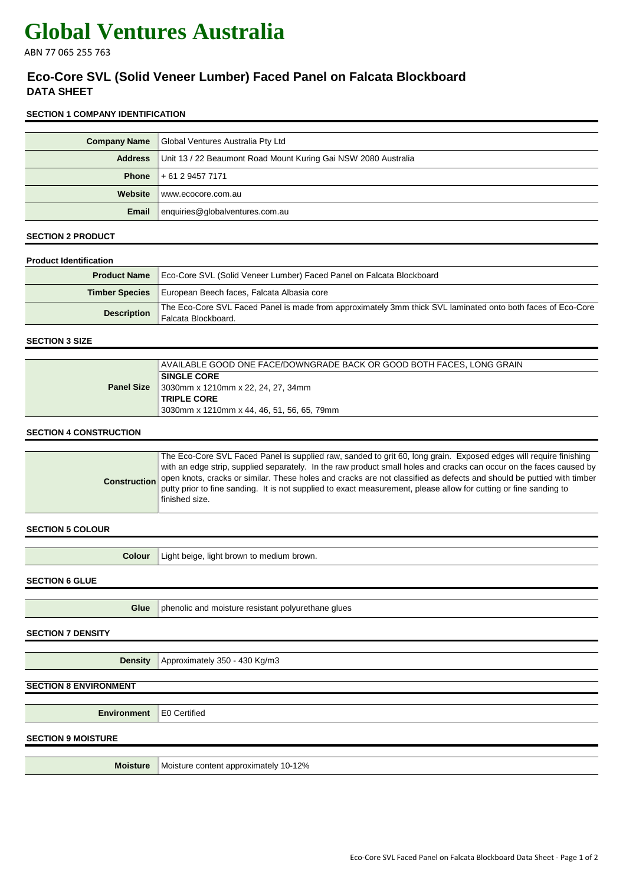# **Global Ventures Australia**

ABN 77 065 255 763

# **Eco-Core SVL (Solid Veneer Lumber) Faced Panel on Falcata Blockboard DATA SHEET**

### **SECTION 1 COMPANY IDENTIFICATION**

| <b>Company Name</b> | Global Ventures Australia Pty Ltd                              |
|---------------------|----------------------------------------------------------------|
| <b>Address</b>      | Unit 13 / 22 Beaumont Road Mount Kuring Gai NSW 2080 Australia |
|                     | <b>Phone</b> $+61294577171$                                    |
| Website             | www.ecocore.com.au                                             |
| Email               | enquiries@globalventures.com.au                                |

#### **SECTION 2 PRODUCT**

| <b>Product Identification</b> |                                                                                                                                    |
|-------------------------------|------------------------------------------------------------------------------------------------------------------------------------|
| <b>Product Name</b>           | Eco-Core SVL (Solid Veneer Lumber) Faced Panel on Falcata Blockboard                                                               |
| <b>Timber Species</b>         | European Beech faces, Falcata Albasia core                                                                                         |
| <b>Description</b>            | The Eco-Core SVL Faced Panel is made from approximately 3mm thick SVL laminated onto both faces of Eco-Core<br>Falcata Blockboard. |

#### **SECTION 3 SIZE**

|                   | AVAILABLE GOOD ONE FACE/DOWNGRADE BACK OR GOOD BOTH FACES, LONG GRAIN |
|-------------------|-----------------------------------------------------------------------|
|                   | <b>SINGLE CORE</b>                                                    |
| <b>Panel Size</b> | ¶3030mm x 1210mm x 22, 24, 27, 34mm                                   |
|                   | <b>TRIPLE CORE</b>                                                    |
|                   | 3030mm x 1210mm x 44, 46, 51, 56, 65, 79mm                            |

### **SECTION 4 CONSTRUCTION**

| The Eco-Core SVL Faced Panel is supplied raw, sanded to grit 60, long grain. Exposed edges will require finishing<br>with an edge strip, supplied separately. In the raw product small holes and cracks can occur on the faces caused by<br>Construction open knots, cracks or similar. These holes and cracks are not classified as defects and should be puttied with timber<br>putty prior to fine sanding. It is not supplied to exact measurement, please allow for cutting or fine sanding to<br>finished size. |
|-----------------------------------------------------------------------------------------------------------------------------------------------------------------------------------------------------------------------------------------------------------------------------------------------------------------------------------------------------------------------------------------------------------------------------------------------------------------------------------------------------------------------|
|                                                                                                                                                                                                                                                                                                                                                                                                                                                                                                                       |

#### **SECTION 5 COLOUR**

| <b>Colour</b> | Light beige, light brown to medium brown. |
|---------------|-------------------------------------------|
|               |                                           |

#### **SECTION 6 GLUE**

**Glue** phenolic and moisture resistant polyurethane glues

#### **SECTION 7 DENSITY**

**Density** Approximately 350 - 430 Kg/m3

# **SECTION 8 ENVIRONMENT**

**Environment** E0 Certified

# **SECTION 9 MOISTURE**

**Moisture** Moisture content approximately 10-12%